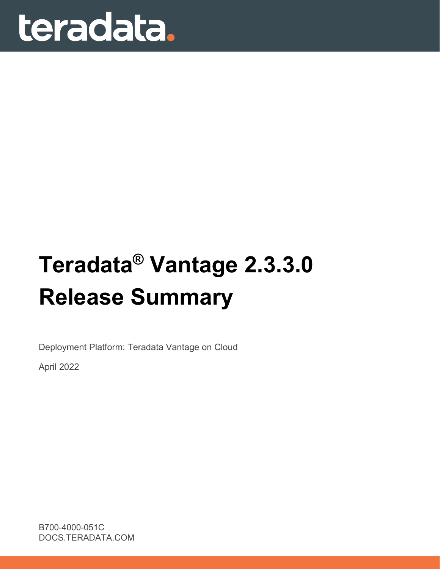# teradata.

## **Teradata® Vantage 2.3.3.0 Release Summary**

Deployment Platform: Teradata Vantage on Cloud

April 2022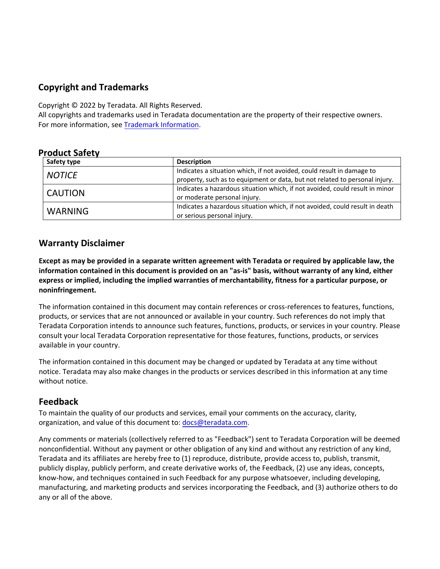## **Copyright and Trademarks**

Copyright © 2022 by Teradata. All Rights Reserved.

All copyrights and trademarks used in Teradata documentation are the property of their respective owners. For more information, see [Trademark Information](https://docs.teradata.com/access/sources/dita/map?dita:mapPath=wbc1537988759565.ditamap).

#### **Product Safety**

| Safety type    | <b>Description</b>                                                                                                                                    |
|----------------|-------------------------------------------------------------------------------------------------------------------------------------------------------|
| <b>NOTICE</b>  | Indicates a situation which, if not avoided, could result in damage to<br>property, such as to equipment or data, but not related to personal injury. |
| <b>CAUTION</b> | Indicates a hazardous situation which, if not avoided, could result in minor<br>or moderate personal injury.                                          |
| <b>WARNING</b> | Indicates a hazardous situation which, if not avoided, could result in death<br>or serious personal injury.                                           |

#### **Warranty Disclaimer**

**Except as may be provided in a separate written agreement with Teradata or required by applicable law, the information contained in this document is provided on an "as-is" basis, without warranty of any kind, either express or implied, including the implied warranties of merchantability, fitness for a particular purpose, or noninfringement.**

The information contained in this document may contain references or cross-references to features, functions, products, or services that are not announced or available in your country. Such references do not imply that Teradata Corporation intends to announce such features, functions, products, or services in your country. Please consult your local Teradata Corporation representative for those features, functions, products, or services available in your country.

The information contained in this document may be changed or updated by Teradata at any time without notice. Teradata may also make changes in the products or services described in this information at any time without notice.

## **Feedback**

To maintain the quality of our products and services, email your comments on the accuracy, clarity, organization, and value of this document to: [docs@teradata.com](mailto:docs@teradata.com).

Any comments or materials (collectively referred to as "Feedback") sent to Teradata Corporation will be deemed nonconfidential. Without any payment or other obligation of any kind and without any restriction of any kind, Teradata and its affiliates are hereby free to (1) reproduce, distribute, provide access to, publish, transmit, publicly display, publicly perform, and create derivative works of, the Feedback, (2) use any ideas, concepts, know-how, and techniques contained in such Feedback for any purpose whatsoever, including developing, manufacturing, and marketing products and services incorporating the Feedback, and (3) authorize others to do any or all of the above.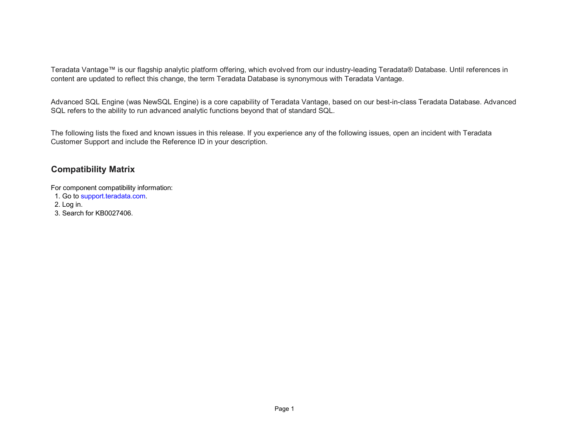Teradata Vantage™ is our flagship analytic platform offering, which evolved from our industry-leading Teradata® Database. Until references in content are updated to reflect this change, the term Teradata Database is synonymous with Teradata Vantage.

Advanced SQL Engine (was NewSQL Engine) is a core capability of Teradata Vantage, based on our best-in-class Teradata Database. Advanced SQL refers to the ability to run advanced analytic functions beyond that of standard SQL.

The following lists the fixed and known issues in this release. If you experience any of the following issues, open an incident with Teradata Customer Support and include the Reference ID in your description.

## **Compatibility Matrix**

For component compatibility information:

1. Go to [support.teradata.com](https://support.teradata.com/csm).

2. Log in.

3. Search for KB0027406.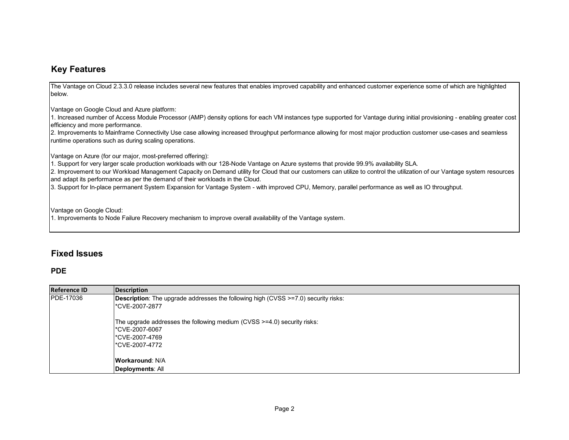#### **Key Features**

The Vantage on Cloud 2.3.3.0 release includes several new features that enables improved capability and enhanced customer experience some of which are highlighted below.

Vantage on Google Cloud and Azure platform:

1. Increased number of Access Module Processor (AMP) density options for each VM instances type supported for Vantage during initial provisioning - enabling greater cost efficiency and more performance.

2. Improvements to Mainframe Connectivity Use case allowing increased throughput performance allowing for most major production customer use-cases and seamless runtime operations such as during scaling operations.

Vantage on Azure (for our major, most-preferred offering):

1. Support for very larger scale production workloads with our 128-Node Vantage on Azure systems that provide 99.9% availability SLA.

2. Improvement to our Workload Management Capacity on Demand utility for Cloud that our customers can utilize to control the utilization of our Vantage system resources and adapt its performance as per the demand of their workloads in the Cloud.

3. Support for In-place permanent System Expansion for Vantage System - with improved CPU, Memory, parallel performance as well as IO throughput.

Vantage on Google Cloud:

1. Improvements to Node Failure Recovery mechanism to improve overall availability of the Vantage system.

#### **Fixed Issues**

#### **PDE**

| <b>Reference ID</b> | <b>Description</b>                                                                        |
|---------------------|-------------------------------------------------------------------------------------------|
| <b>PDE-17036</b>    | <b>Description:</b> The upgrade addresses the following high (CVSS >=7.0) security risks: |
|                     | l*CVE-2007-2877                                                                           |
|                     | The upgrade addresses the following medium (CVSS >=4.0) security risks:                   |
|                     | l*CVE-2007-6067                                                                           |
|                     | l*CVE-2007-4769                                                                           |
|                     | l*CVE-2007-4772                                                                           |
|                     | <b>Workaround: N/A</b>                                                                    |
|                     | Deployments: All                                                                          |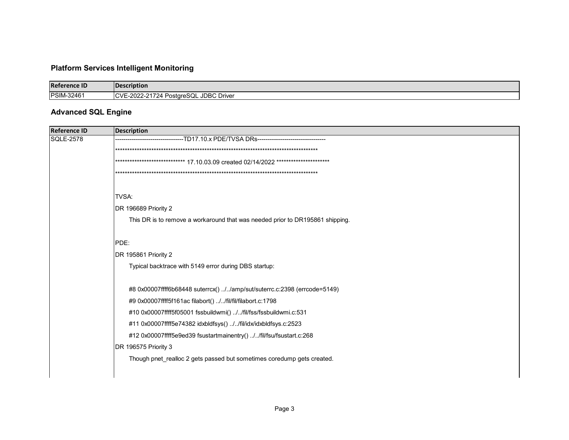## **Platform Services Intelligent Monitoring**

| <b>Reference ID</b> | Description                           |
|---------------------|---------------------------------------|
| <b>PSIM-32461</b>   | CVE-2022-21724 PostgreSQL JDBC Driver |

#### **Advanced SQL Engine**

| <b>Reference ID</b> | <b>Description</b>                                                               |
|---------------------|----------------------------------------------------------------------------------|
| <b>SQLE-2578</b>    | --TD17.10.x PDE/TVSA DRs----                                                     |
|                     |                                                                                  |
|                     | **************************** 17.10.03.09 created 02/14/2022 ******************** |
|                     |                                                                                  |
|                     |                                                                                  |
|                     | TVSA:                                                                            |
|                     | DR 196689 Priority 2                                                             |
|                     | This DR is to remove a workaround that was needed prior to DR195861 shipping.    |
|                     |                                                                                  |
|                     | PDE:                                                                             |
|                     | DR 195861 Priority 2                                                             |
|                     | Typical backtrace with 5149 error during DBS startup:                            |
|                     |                                                                                  |
|                     | #8 0x00007ffff6b68448 suterrcx() //amp/sut/suterrc.c:2398 (errcode=5149)         |
|                     | #9 0x00007ffff5f161ac filabort() //fil/fil/filabort.c:1798                       |
|                     | #10 0x00007ffff5f05001 fssbuildwmi() //fil/fss/fssbuildwmi.c:531                 |
|                     | #11 0x00007ffff5e74382 idxbldfsys() //fil/idx/idxbldfsys.c:2523                  |
|                     | #12 0x00007ffff5e9ed39 fsustartmainentry() //fil/fsu/fsustart.c:268              |
|                     | DR 196575 Priority 3                                                             |
|                     | Though pnet realloc 2 gets passed but sometimes coredump gets created.           |
|                     |                                                                                  |
|                     |                                                                                  |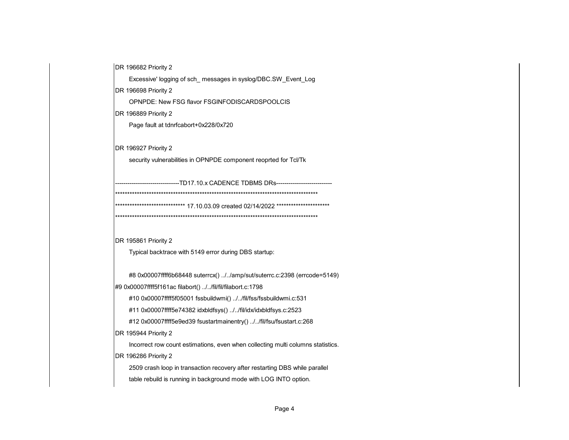DR 196682 Priority 2

Excessive' logging of sch\_ messages in syslog/DBC.SW\_Event\_Log

DR 196698 Priority 2

OPNPDE: New FSG flavor FSGINFODISCARDSPOOLCIS

DR 196889 Priority 2

Page fault at tdnrfcabort+0x228/0x720

DR 196927 Priority 2

security vulnerabilities in OPNPDE component reoprted for Tcl/Tk

-------------------------------TD17.10.x CADENCE TDBMS DRs---------------------------\*\*\*\*\*\*\*\*\*\*\*\*\*\*\*\*\*\*\*\*\*\*\*\*\*\*\*\*\*\*\*\*\*\*\*\*\*\*\*\*\*\*\*\*\*\*\*\*\*\*\*\*\*\*\*\*\*\*\*\*\*\*\*\*\*\*\*\*\*\*\*\*\*\*\*\*\*\*\*\*\*\*\*\*\*\*\*\*\*\*\*\*\*\*\*\*\*\*\*\*\*\*\*\*\*\*\*\*\*\*\*\* 17.10.03.09 created 02/14/2022 \*\*\*\*\*\*\*\*\*\*\*\*\*\*\*\*\*\*\*\*\* \*\*\*\*\*\*\*\*\*\*\*\*\*\*\*\*\*\*\*\*\*\*\*\*\*\*\*\*\*\*\*\*\*\*\*\*\*\*\*\*\*\*\*\*\*\*\*\*\*\*\*\*\*\*\*\*\*\*\*\*\*\*\*\*\*\*\*\*\*\*\*\*\*\*\*\*\*\*\*\*\*\*\*\*

DR 195861 Priority 2

Typical backtrace with 5149 error during DBS startup:

#8 0x00007ffff6b68448 suterrcx() ../../amp/sut/suterrc.c:2398 (errcode=5149)

#9 0x00007ffff5f161ac filabort() ../../fil/fil/filabort.c:1798

#10 0x00007ffff5f05001 fssbuildwmi() ../../fil/fss/fssbuildwmi.c:531

#11 0x00007ffff5e74382 idxbldfsys() ../../fil/idx/idxbldfsys.c:2523

#12 0x00007ffff5e9ed39 fsustartmainentry() ../../fil/fsu/fsustart.c:268

DR 195944 Priority 2

Incorrect row count estimations, even when collecting multi columns statistics.

DR 196286 Priority 2

 2509 crash loop in transaction recovery after restarting DBS while parallel table rebuild is running in background mode with LOG INTO option.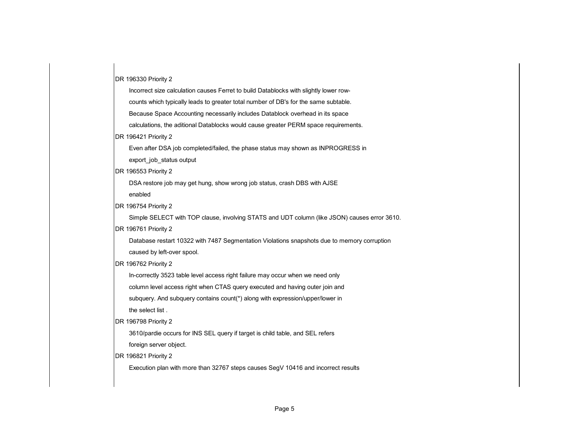DR 196330 Priority 2

 Incorrect size calculation causes Ferret to build Datablocks with slightly lower row counts which typically leads to greater total number of DB's for the same subtable.

Because Space Accounting necessarily includes Datablock overhead in its space

calculations, the aditional Datablocks would cause greater PERM space requirements.

#### DR 196421 Priority 2

Even after DSA job completed/failed, the phase status may shown as INPROGRESS in

export\_job\_status output

DR 196553 Priority 2

 DSA restore job may get hung, show wrong job status, crash DBS with AJSE enabled

DR 196754 Priority 2

Simple SELECT with TOP clause, involving STATS and UDT column (like JSON) causes error 3610.

DR 196761 Priority 2

 Database restart 10322 with 7487 Segmentation Violations snapshots due to memory corruption caused by left-over spool.

DR 196762 Priority 2

In-correctly 3523 table level access right failure may occur when we need only

column level access right when CTAS query executed and having outer join and

subquery. And subquery contains count(\*) along with expression/upper/lower in

the select list .

DR 196798 Priority 2

3610/pardie occurs for INS SEL query if target is child table, and SEL refers

foreign server object.

DR 196821 Priority 2

Execution plan with more than 32767 steps causes SegV 10416 and incorrect results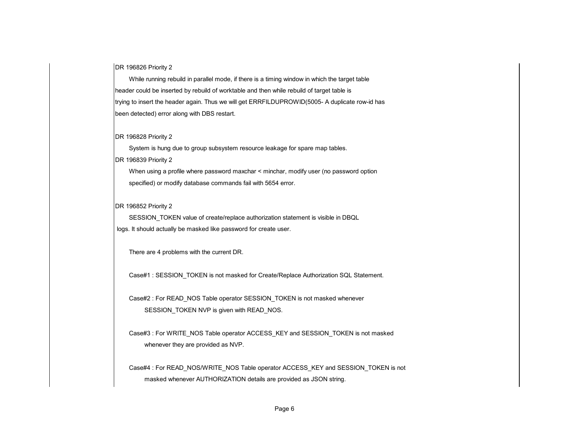DR 196826 Priority 2

 While running rebuild in parallel mode, if there is a timing window in which the target table header could be inserted by rebuild of worktable and then while rebuild of target table is trying to insert the header again. Thus we will get ERRFILDUPROWID(5005- A duplicate row-id has been detected) error along with DBS restart.

#### DR 196828 Priority 2

 System is hung due to group subsystem resource leakage for spare map tables. DR 196839 Priority 2

 When using a profile where password maxchar < minchar, modify user (no password option specified) or modify database commands fail with 5654 error.

DR 196852 Priority 2

 SESSION\_TOKEN value of create/replace authorization statement is visible in DBQL logs. It should actually be masked like password for create user.

There are 4 problems with the current DR.

Case#1 : SESSION\_TOKEN is not masked for Create/Replace Authorization SQL Statement.

 Case#2 : For READ\_NOS Table operator SESSION\_TOKEN is not masked whenever SESSION\_TOKEN NVP is given with READ\_NOS.

Case#3 : For WRITE\_NOS Table operator ACCESS\_KEY and SESSION\_TOKEN is not masked whenever they are provided as NVP.

 Case#4 : For READ\_NOS/WRITE\_NOS Table operator ACCESS\_KEY and SESSION\_TOKEN is not masked whenever AUTHORIZATION details are provided as JSON string.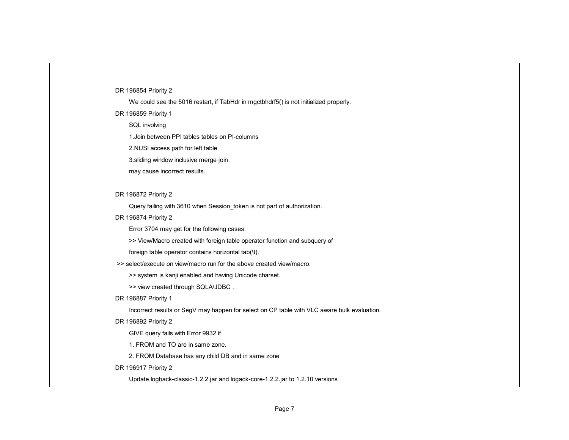#### DR 196854 Priority 2

We could see the 5016 restart, if TabHdr in mgctbhdrf5() is not initialized properly.

DR 196859 Priority 1

SQL involving

1.Join between PPI tables tables on PI-columns

2.NUSI access path for left table

3.sliding window inclusive merge join

may cause incorrect results.

#### DR 196872 Priority 2

Query failing with 3610 when Session\_token is not part of authorization.

#### DR 196874 Priority 2

Error 3704 may get for the following cases.

>> View/Macro created with foreign table operator function and subquery of

foreign table operator contains horizontal tab(\t).

>> select/execute on view/macro run for the above created view/macro.

>> system is kanji enabled and having Unicode charset.

>> view created through SQLA/JDBC .

DR 196887 Priority 1

Incorrect results or SegV may happen for select on CP table with VLC aware bulk evaluation.

DR 196892 Priority 2

GIVE query fails with Error 9932 if

1. FROM and TO are in same zone.

2. FROM Database has any child DB and in same zone

DR 196917 Priority 2

Update logback-classic-1.2.2.jar and logack-core-1.2.2.jar to 1.2.10 versions